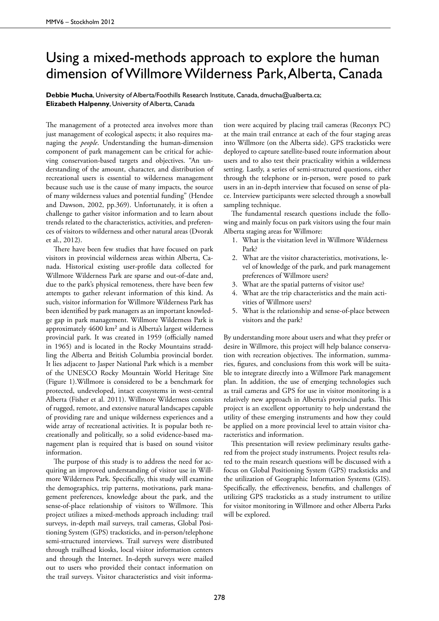## Using a mixed-methods approach to explore the human dimension of Willmore Wilderness Park, Alberta, Canada

**Debbie Mucha**, University of Alberta/Foothills Research Institute, Canada, dmucha@ualberta.ca; **Elizabeth Halpenny**, University of Alberta, Canada

The management of a protected area involves more than just management of ecological aspects; it also requires managing the *people*. Understanding the human-dimension component of park management can be critical for achieving conservation-based targets and objectives. "An understanding of the amount, character, and distribution of recreational users is essential to wilderness management because such use is the cause of many impacts, the source of many wilderness values and potential funding" (Hendee and Dawson, 2002, pp.369). Unfortunately, it is often a challenge to gather visitor information and to learn about trends related to the characteristics, activities, and preferences of visitors to wilderness and other natural areas (Dvorak et al., 2012).

There have been few studies that have focused on park visitors in provincial wilderness areas within Alberta, Canada. Historical existing user-profile data collected for Willmore Wilderness Park are sparse and out-of-date and, due to the park's physical remoteness, there have been few attempts to gather relevant information of this kind. As such, visitor information for Willmore Wilderness Park has been identified by park managers as an important knowledge gap in park management. Willmore Wilderness Park is approximately 4600 km² and is Alberta's largest wilderness provincial park. It was created in 1959 (officially named in 1965) and is located in the Rocky Mountains straddling the Alberta and British Columbia provincial border. It lies adjacent to Jasper National Park which is a member of the UNESCO Rocky Mountain World Heritage Site (Figure 1).Willmore is considered to be a benchmark for protected, undeveloped, intact ecosystems in west-central Alberta (Fisher et al. 2011). Willmore Wilderness consists of rugged, remote, and extensive natural landscapes capable of providing rare and unique wilderness experiences and a wide array of recreational activities. It is popular both recreationally and politically, so a solid evidence-based management plan is required that is based on sound visitor information.

The purpose of this study is to address the need for acquiring an improved understanding of visitor use in Willmore Wilderness Park. Specifically, this study will examine the demographics, trip patterns, motivations, park management preferences, knowledge about the park, and the sense-of-place relationship of visitors to Willmore. This project utilizes a mixed-methods approach including: trail surveys, in-depth mail surveys, trail cameras, Global Positioning System (GPS) tracksticks, and in-person/telephone semi-structured interviews. Trail surveys were distributed through trailhead kiosks, local visitor information centers and through the Internet. In-depth surveys were mailed out to users who provided their contact information on the trail surveys. Visitor characteristics and visit information were acquired by placing trail cameras (Reconyx PC) at the main trail entrance at each of the four staging areas into Willmore (on the Alberta side). GPS tracksticks were deployed to capture satellite-based route information about users and to also test their practicality within a wilderness setting. Lastly, a series of semi-structured questions, either through the telephone or in-person, were posed to park users in an in-depth interview that focused on sense of place. Interview participants were selected through a snowball sampling technique.

The fundamental research questions include the following and mainly focus on park visitors using the four main Alberta staging areas for Willmore:

- 1. What is the visitation level in Willmore Wilderness Park?
- 2. What are the visitor characteristics, motivations, level of knowledge of the park, and park management preferences of Willmore users?
- 3. What are the spatial patterns of visitor use?
- 4. What are the trip characteristics and the main activities of Willmore users?
- 5. What is the relationship and sense-of-place between visitors and the park?

By understanding more about users and what they prefer or desire in Willmore, this project will help balance conservation with recreation objectives. The information, summaries, figures, and conclusions from this work will be suitable to integrate directly into a Willmore Park management plan. In addition, the use of emerging technologies such as trail cameras and GPS for use in visitor monitoring is a relatively new approach in Alberta's provincial parks. This project is an excellent opportunity to help understand the utility of these emerging instruments and how they could be applied on a more provincial level to attain visitor characteristics and information.

This presentation will review preliminary results gathered from the project study instruments. Project results related to the main research questions will be discussed with a focus on Global Positioning System (GPS) tracksticks and the utilization of Geographic Information Systems (GIS). Specifically, the effectiveness, benefits, and challenges of utilizing GPS tracksticks as a study instrument to utilize for visitor monitoring in Willmore and other Alberta Parks will be explored.